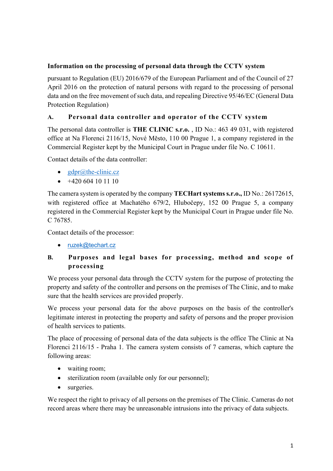### **Information on the processing of personal data through the CCTV system**

pursuant to Regulation (EU) 2016/679 of the European Parliament and of the Council of 27 April 2016 on the protection of natural persons with regard to the processing of personal data and on the free movement of such data, and repealing Directive 95/46/EC (General Data Protection Regulation)

## **A. Personal data controller and operator of the CCTV system**

The personal data controller is **THE CLINIC s.r.o.** , ID No.: 463 49 031, with registered office at Na Florenci 2116/15, Nové Město, 110 00 Prague 1, a company registered in the Commercial Register kept by the Municipal Court in Prague under file No. C 10611.

Contact details of the data controller:

- $gdpr@the$ -clinic.cz
- $\bullet$  +420 604 10 11 10

The camera system is operated by the company **TECHart systems s.r.o.,** ID No.: 26172615, with registered office at Machatého 679/2, Hlubočepy, 152 00 Prague 5, a company registered in the Commercial Register kept by the Municipal Court in Prague under file No. C 76785.

Contact details of the processor:

• ruzek@techart.cz

# **B. Purposes and legal bases for processing, method and scope of processing**

We process your personal data through the CCTV system for the purpose of protecting the property and safety of the controller and persons on the premises of The Clinic, and to make sure that the health services are provided properly.

We process your personal data for the above purposes on the basis of the controller's legitimate interest in protecting the property and safety of persons and the proper provision of health services to patients.

The place of processing of personal data of the data subjects is the office The Clinic at Na Florenci 2116/15 - Praha 1. The camera system consists of 7 cameras, which capture the following areas:

- waiting room;
- sterilization room (available only for our personnel);
- surgeries.

We respect the right to privacy of all persons on the premises of The Clinic. Cameras do not record areas where there may be unreasonable intrusions into the privacy of data subjects.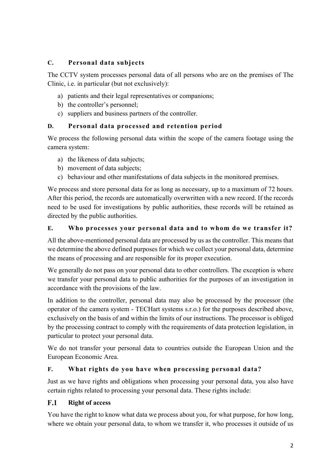# **C. Personal data subjects**

The CCTV system processes personal data of all persons who are on the premises of The Clinic, i.e. in particular (but not exclusively):

- a) patients and their legal representatives or companions;
- b) the controller's personnel;
- c) suppliers and business partners of the controller.

### **D. Personal data processed and retention period**

We process the following personal data within the scope of the camera footage using the camera system:

- a) the likeness of data subjects;
- b) movement of data subjects;
- c) behaviour and other manifestations of data subjects in the monitored premises.

We process and store personal data for as long as necessary, up to a maximum of 72 hours. After this period, the records are automatically overwritten with a new record. If the records need to be used for investigations by public authorities, these records will be retained as directed by the public authorities.

### **E. Who processes your personal data and to whom do we transfer it?**

All the above-mentioned personal data are processed by us as the controller. This means that we determine the above defined purposes for which we collect your personal data, determine the means of processing and are responsible for its proper execution.

We generally do not pass on your personal data to other controllers. The exception is where we transfer your personal data to public authorities for the purposes of an investigation in accordance with the provisions of the law.

In addition to the controller, personal data may also be processed by the processor (the operator of the camera system - TECHart systems s.r.o.) for the purposes described above, exclusively on the basis of and within the limits of our instructions. The processor is obliged by the processing contract to comply with the requirements of data protection legislation, in particular to protect your personal data.

We do not transfer your personal data to countries outside the European Union and the European Economic Area.

# **F. What rights do you have when processing personal data?**

Just as we have rights and obligations when processing your personal data, you also have certain rights related to processing your personal data. These rights include:

#### **Right of access**  $F.1$

You have the right to know what data we process about you, for what purpose, for how long, where we obtain your personal data, to whom we transfer it, who processes it outside of us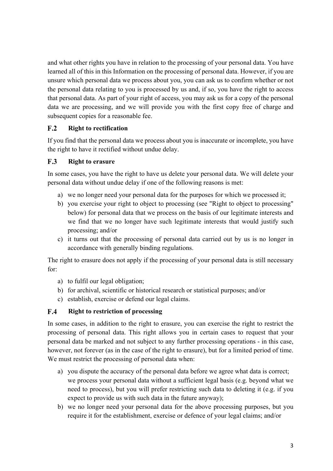and what other rights you have in relation to the processing of your personal data. You have learned all of this in this Information on the processing of personal data. However, if you are unsure which personal data we process about you, you can ask us to confirm whether or not the personal data relating to you is processed by us and, if so, you have the right to access that personal data. As part of your right of access, you may ask us for a copy of the personal data we are processing, and we will provide you with the first copy free of charge and subsequent copies for a reasonable fee.

#### $F.2$ **Right to rectification**

If you find that the personal data we process about you is inaccurate or incomplete, you have the right to have it rectified without undue delay.

#### $F.3$ **Right to erasure**

In some cases, you have the right to have us delete your personal data. We will delete your personal data without undue delay if one of the following reasons is met:

- a) we no longer need your personal data for the purposes for which we processed it;
- b) you exercise your right to object to processing (see "Right to object to processing" below) for personal data that we process on the basis of our legitimate interests and we find that we no longer have such legitimate interests that would justify such processing; and/or
- c) it turns out that the processing of personal data carried out by us is no longer in accordance with generally binding regulations.

The right to erasure does not apply if the processing of your personal data is still necessary for:

- a) to fulfil our legal obligation;
- b) for archival, scientific or historical research or statistical purposes; and/or
- c) establish, exercise or defend our legal claims.

#### $F.4$ **Right to restriction of processing**

In some cases, in addition to the right to erasure, you can exercise the right to restrict the processing of personal data. This right allows you in certain cases to request that your personal data be marked and not subject to any further processing operations - in this case, however, not forever (as in the case of the right to erasure), but for a limited period of time. We must restrict the processing of personal data when:

- a) you dispute the accuracy of the personal data before we agree what data is correct; we process your personal data without a sufficient legal basis (e.g. beyond what we need to process), but you will prefer restricting such data to deleting it (e.g. if you expect to provide us with such data in the future anyway);
- b) we no longer need your personal data for the above processing purposes, but you require it for the establishment, exercise or defence of your legal claims; and/or